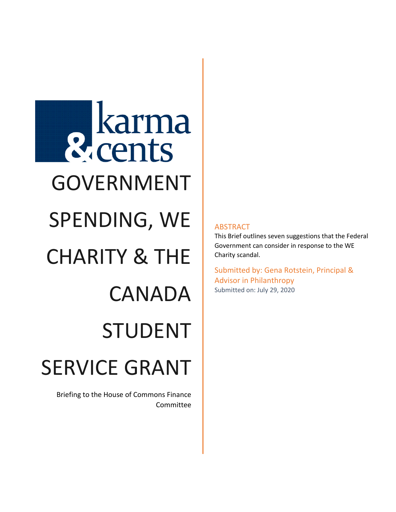**R** karma GOVERNMENT SPENDING, WE CHARITY & THE CANADA STUDENT SERVICE GRANT

Briefing to the House of Commons Finance Committee

## ABSTRACT

This Brief outlines seven suggestions that the Federal Government can consider in response to the WE Charity scandal.

Submitted by: Gena Rotstein, Principal & Advisor in Philanthropy Submitted on: July 29, 2020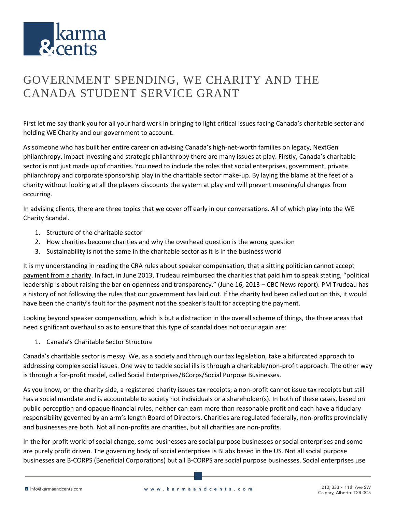

## GOVERNMENT SPENDING, WE CHARITY AND THE CANADA STUDENT SERVICE GRANT

First let me say thank you for all your hard work in bringing to light critical issues facing Canada's charitable sector and holding WE Charity and our government to account.

As someone who has built her entire career on advising Canada's high-net-worth families on legacy, NextGen philanthropy, impact investing and strategic philanthropy there are many issues at play. Firstly, Canada's charitable sector is not just made up of charities. You need to include the roles that social enterprises, government, private philanthropy and corporate sponsorship play in the charitable sector make-up. By laying the blame at the feet of a charity without looking at all the players discounts the system at play and will prevent meaningful changes from occurring.

In advising clients, there are three topics that we cover off early in our conversations. All of which play into the WE Charity Scandal.

- 1. Structure of the charitable sector
- 2. How charities become charities and why the overhead question is the wrong question
- 3. Sustainability is not the same in the charitable sector as it is in the business world

It is my understanding in reading the CRA rules about speaker compensation, that a sitting politician cannot accept payment from a charity. In fact, in June 2013, Trudeau reimbursed the charities that paid him to speak stating, "political leadership is about raising the bar on openness and transparency." (June 16, 2013 – CBC News report). PM Trudeau has a history of not following the rules that our government has laid out. If the charity had been called out on this, it would have been the charity's fault for the payment not the speaker's fault for accepting the payment.

Looking beyond speaker compensation, which is but a distraction in the overall scheme of things, the three areas that need significant overhaul so as to ensure that this type of scandal does not occur again are:

1. Canada's Charitable Sector Structure

Canada's charitable sector is messy. We, as a society and through our tax legislation, take a bifurcated approach to addressing complex social issues. One way to tackle social ills is through a charitable/non-profit approach. The other way is through a for-profit model, called Social Enterprises/BCorps/Social Purpose Businesses.

As you know, on the charity side, a registered charity issues tax receipts; a non-profit cannot issue tax receipts but still has a social mandate and is accountable to society not individuals or a shareholder(s). In both of these cases, based on public perception and opaque financial rules, neither can earn more than reasonable profit and each have a fiduciary responsibility governed by an arm's length Board of Directors. Charities are regulated federally, non-profits provincially and businesses are both. Not all non-profits are charities, but all charities are non-profits.

In the for-profit world of social change, some businesses are social purpose businesses or social enterprises and some are purely profit driven. The governing body of social enterprises is BLabs based in the US. Not all social purpose businesses are B-CORPS (Beneficial Corporations) but all B-CORPS are social purpose businesses. Social enterprises use

**E** info@karmaandcents.com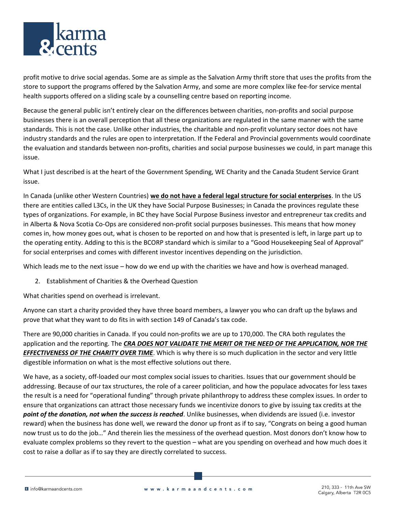

profit motive to drive social agendas. Some are as simple as the Salvation Army thrift store that uses the profits from the store to support the programs offered by the Salvation Army, and some are more complex like fee-for service mental health supports offered on a sliding scale by a counselling centre based on reporting income.

Because the general public isn't entirely clear on the differences between charities, non-profits and social purpose businesses there is an overall perception that all these organizations are regulated in the same manner with the same standards. This is not the case. Unlike other industries, the charitable and non-profit voluntary sector does not have industry standards and the rules are open to interpretation. If the Federal and Provincial governments would coordinate the evaluation and standards between non-profits, charities and social purpose businesses we could, in part manage this issue.

What I just described is at the heart of the Government Spending, WE Charity and the Canada Student Service Grant issue.

In Canada (unlike other Western Countries) **we do not have a federal legal structure for social enterprises**. In the US there are entities called L3Cs, in the UK they have Social Purpose Businesses; in Canada the provinces regulate these types of organizations. For example, in BC they have Social Purpose Business investor and entrepreneur tax credits and in Alberta & Nova Scotia Co-Ops are considered non-profit social purposes businesses. This means that how money comes in, how money goes out, what is chosen to be reported on and how that is presented is left, in large part up to the operating entity. Adding to this is the BCORP standard which is similar to a "Good Housekeeping Seal of Approval" for social enterprises and comes with different investor incentives depending on the jurisdiction.

Which leads me to the next issue – how do we end up with the charities we have and how is overhead managed.

2. Establishment of Charities & the Overhead Question

What charities spend on overhead is irrelevant.

Anyone can start a charity provided they have three board members, a lawyer you who can draft up the bylaws and prove that what they want to do fits in with section 149 of Canada's tax code.

There are 90,000 charities in Canada. If you could non-profits we are up to 170,000. The CRA both regulates the application and the reporting. The *CRA DOES NOT VALIDATE THE MERIT OR THE NEED OF THE APPLICATION, NOR THE EFFECTIVENESS OF THE CHARITY OVER TIME*. Which is why there is so much duplication in the sector and very little digestible information on what is the most effective solutions out there.

We have, as a society, off-loaded our most complex social issues to charities. Issues that our government should be addressing. Because of our tax structures, the role of a career politician, and how the populace advocates for less taxes the result is a need for "operational funding" through private philanthropy to address these complex issues. In order to ensure that organizations can attract those necessary funds we incentivize donors to give by issuing tax credits at the *point of the donation, not when the success is reached*. Unlike businesses, when dividends are issued (i.e. investor reward) when the business has done well, we reward the donor up front as if to say, "Congrats on being a good human now trust us to do the job…" And therein lies the messiness of the overhead question. Most donors don't know how to evaluate complex problems so they revert to the question – what are you spending on overhead and how much does it cost to raise a dollar as if to say they are directly correlated to success.

**E** info@karmaandcents.com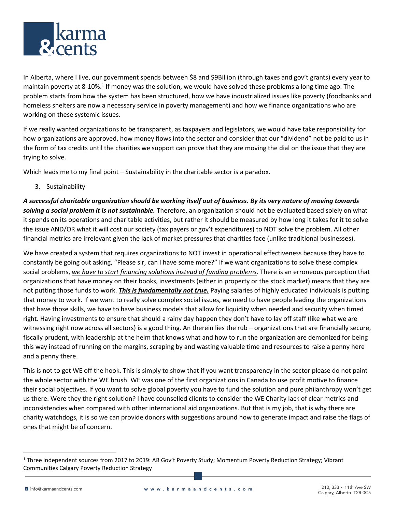

In Alberta, where I live, our government spends between \$8 and \$9Billion (through taxes and gov't grants) every year to maintain poverty at 8-10%.<sup>1</sup> If money was the solution, we would have solved these problems a long time ago. The problem starts from how the system has been structured, how we have industrialized issues like poverty (foodbanks and homeless shelters are now a necessary service in poverty management) and how we finance organizations who are working on these systemic issues.

If we really wanted organizations to be transparent, as taxpayers and legislators, we would have take responsibility for how organizations are approved, how money flows into the sector and consider that our "dividend" not be paid to us in the form of tax credits until the charities we support can prove that they are moving the dial on the issue that they are trying to solve.

Which leads me to my final point – Sustainability in the charitable sector is a paradox.

3. Sustainability

*A successful charitable organization should be working itself out of business. By its very nature of moving towards solving a social problem it is not sustainable.* Therefore, an organization should not be evaluated based solely on what it spends on its operations and charitable activities, but rather it should be measured by how long it takes for it to solve the issue AND/OR what it will cost our society (tax payers or gov't expenditures) to NOT solve the problem. All other financial metrics are irrelevant given the lack of market pressures that charities face (unlike traditional businesses).

We have created a system that requires organizations to NOT invest in operational effectiveness because they have to constantly be going out asking, "Please sir, can I have some more?" If we want organizations to solve these complex social problems, *we have to start financing solutions instead of funding problems*. There is an erroneous perception that organizations that have money on their books, investments (either in property or the stock market) means that they are not putting those funds to work. *This is fundamentally not true.* Paying salaries of highly educated individuals is putting that money to work. If we want to really solve complex social issues, we need to have people leading the organizations that have those skills, we have to have business models that allow for liquidity when needed and security when timed right. Having investments to ensure that should a rainy day happen they don't have to lay off staff (like what we are witnessing right now across all sectors) is a good thing. An therein lies the rub – organizations that are financially secure, fiscally prudent, with leadership at the helm that knows what and how to run the organization are demonized for being this way instead of running on the margins, scraping by and wasting valuable time and resources to raise a penny here and a penny there.

This is not to get WE off the hook. This is simply to show that if you want transparency in the sector please do not paint the whole sector with the WE brush. WE was one of the first organizations in Canada to use profit motive to finance their social objectives. If you want to solve global poverty you have to fund the solution and pure philanthropy won't get us there. Were they the right solution? I have counselled clients to consider the WE Charity lack of clear metrics and inconsistencies when compared with other international aid organizations. But that is my job, that is why there are charity watchdogs, it is so we can provide donors with suggestions around how to generate impact and raise the flags of ones that might be of concern.

<sup>&</sup>lt;sup>1</sup> Three independent sources from 2017 to 2019: AB Gov't Poverty Study; Momentum Poverty Reduction Strategy; Vibrant Communities Calgary Poverty Reduction Strategy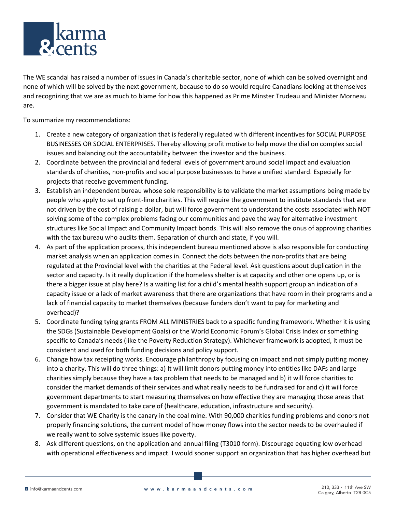

The WE scandal has raised a number of issues in Canada's charitable sector, none of which can be solved overnight and none of which will be solved by the next government, because to do so would require Canadians looking at themselves and recognizing that we are as much to blame for how this happened as Prime Minster Trudeau and Minister Morneau are.

To summarize my recommendations:

- 1. Create a new category of organization that is federally regulated with different incentives for SOCIAL PURPOSE BUSINESSES OR SOCIAL ENTERPRISES. Thereby allowing profit motive to help move the dial on complex social issues and balancing out the accountability between the investor and the business.
- 2. Coordinate between the provincial and federal levels of government around social impact and evaluation standards of charities, non-profits and social purpose businesses to have a unified standard. Especially for projects that receive government funding.
- 3. Establish an independent bureau whose sole responsibility is to validate the market assumptions being made by people who apply to set up front-line charities. This will require the government to institute standards that are not driven by the cost of raising a dollar, but will force government to understand the costs associated with NOT solving some of the complex problems facing our communities and pave the way for alternative investment structures like Social Impact and Community Impact bonds. This will also remove the onus of approving charities with the tax bureau who audits them. Separation of church and state, if you will.
- 4. As part of the application process, this independent bureau mentioned above is also responsible for conducting market analysis when an application comes in. Connect the dots between the non-profits that are being regulated at the Provincial level with the charities at the Federal level. Ask questions about duplication in the sector and capacity. Is it really duplication if the homeless shelter is at capacity and other one opens up, or is there a bigger issue at play here? Is a waiting list for a child's mental health support group an indication of a capacity issue or a lack of market awareness that there are organizations that have room in their programs and a lack of financial capacity to market themselves (because funders don't want to pay for marketing and overhead)?
- 5. Coordinate funding tying grants FROM ALL MINISTRIES back to a specific funding framework. Whether it is using the SDGs (Sustainable Development Goals) or the World Economic Forum's Global Crisis Index or something specific to Canada's needs (like the Poverty Reduction Strategy). Whichever framework is adopted, it must be consistent and used for both funding decisions and policy support.
- 6. Change how tax receipting works. Encourage philanthropy by focusing on impact and not simply putting money into a charity. This will do three things: a) It will limit donors putting money into entities like DAFs and large charities simply because they have a tax problem that needs to be managed and b) it will force charities to consider the market demands of their services and what really needs to be fundraised for and c) it will force government departments to start measuring themselves on how effective they are managing those areas that government is mandated to take care of (healthcare, education, infrastructure and security).
- 7. Consider that WE Charity is the canary in the coal mine. With 90,000 charities funding problems and donors not properly financing solutions, the current model of how money flows into the sector needs to be overhauled if we really want to solve systemic issues like poverty.
- 8. Ask different questions, on the application and annual filing (T3010 form). Discourage equating low overhead with operational effectiveness and impact. I would sooner support an organization that has higher overhead but

I info@karmaandcents.com